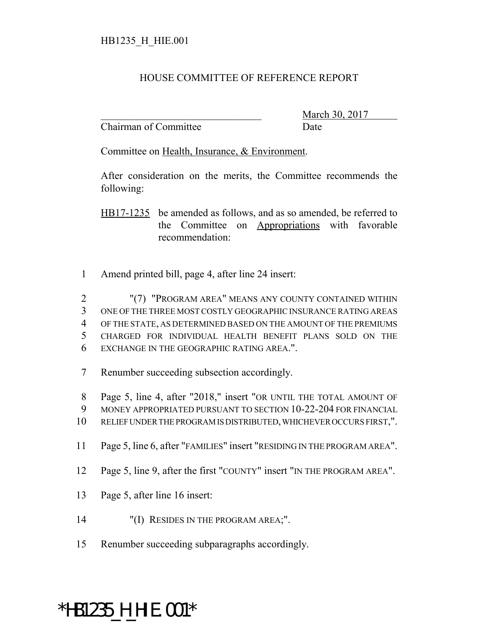## HOUSE COMMITTEE OF REFERENCE REPORT

Chairman of Committee Date

March 30, 2017

Committee on Health, Insurance, & Environment.

After consideration on the merits, the Committee recommends the following:

HB17-1235 be amended as follows, and as so amended, be referred to the Committee on Appropriations with favorable recommendation:

1 Amend printed bill, page 4, after line 24 insert:

 "(7) "PROGRAM AREA" MEANS ANY COUNTY CONTAINED WITHIN ONE OF THE THREE MOST COSTLY GEOGRAPHIC INSURANCE RATING AREAS OF THE STATE, AS DETERMINED BASED ON THE AMOUNT OF THE PREMIUMS CHARGED FOR INDIVIDUAL HEALTH BENEFIT PLANS SOLD ON THE EXCHANGE IN THE GEOGRAPHIC RATING AREA.".

7 Renumber succeeding subsection accordingly.

8 Page 5, line 4, after "2018," insert "OR UNTIL THE TOTAL AMOUNT OF 9 MONEY APPROPRIATED PURSUANT TO SECTION 10-22-204 FOR FINANCIAL 10 RELIEF UNDER THE PROGRAM IS DISTRIBUTED, WHICHEVER OCCURS FIRST,".

- 11 Page 5, line 6, after "FAMILIES" insert "RESIDING IN THE PROGRAM AREA".
- 12 Page 5, line 9, after the first "COUNTY" insert "IN THE PROGRAM AREA".
- 13 Page 5, after line 16 insert:
- 14 "(I) RESIDES IN THE PROGRAM AREA;".
- 15 Renumber succeeding subparagraphs accordingly.

## \*HB1235\_H\_HIE.001\*